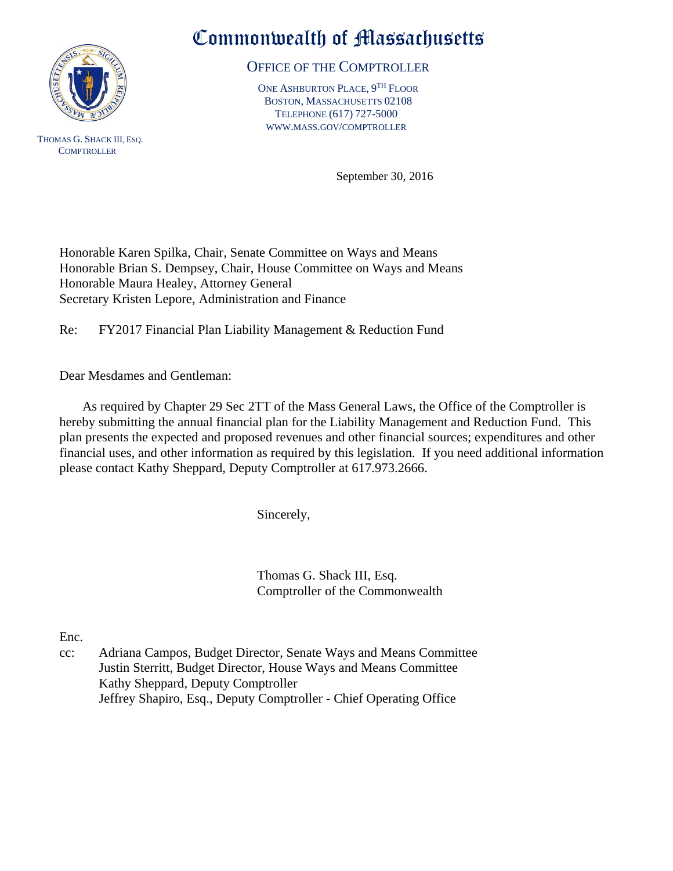

 THOMAS G. SHACK III, ESQ. **COMPTROLLER** 

## Commonwealth of Massachusetts

OFFICE OF THE COMPTROLLER

ONE ASHBURTON PLACE, 9<sup>TH</sup> FLOOR BOSTON, MASSACHUSETTS 02108 TELEPHONE (617) 727-5000 WWW.MASS.GOV/COMPTROLLER

September 30, 2016

Honorable Karen Spilka, Chair, Senate Committee on Ways and Means Honorable Brian S. Dempsey, Chair, House Committee on Ways and Means Honorable Maura Healey, Attorney General Secretary Kristen Lepore, Administration and Finance

Re: FY2017 Financial Plan Liability Management & Reduction Fund

Dear Mesdames and Gentleman:

 As required by Chapter 29 Sec 2TT of the Mass General Laws, the Office of the Comptroller is hereby submitting the annual financial plan for the Liability Management and Reduction Fund. This plan presents the expected and proposed revenues and other financial sources; expenditures and other financial uses, and other information as required by this legislation. If you need additional information please contact Kathy Sheppard, Deputy Comptroller at 617.973.2666.

Sincerely,

Thomas G. Shack III, Esq. Comptroller of the Commonwealth

Enc.

cc: Adriana Campos, Budget Director, Senate Ways and Means Committee Justin Sterritt, Budget Director, House Ways and Means Committee Kathy Sheppard, Deputy Comptroller Jeffrey Shapiro, Esq., Deputy Comptroller - Chief Operating Office